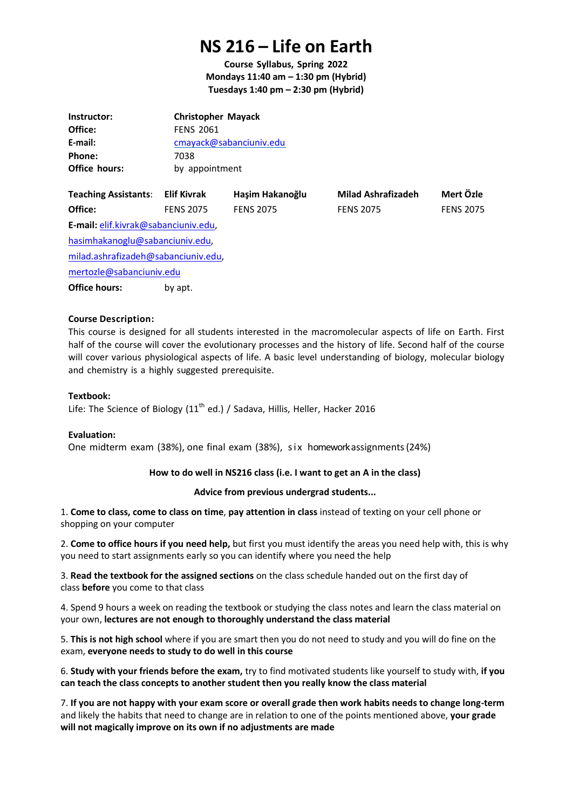# **NS 216 – Life on Earth**

**Course Syllabus, Spring 2022 Mondays 11:40 am – 1:30 pm (Hybrid) Tuesdays 1:40 pm – 2:30 pm (Hybrid)**

| <b>Christopher Mayack</b> |
|---------------------------|
| <b>FENS 2061</b>          |
| cmayack@sabanciuniv.edu   |
| 7038                      |
| by appointment            |
|                           |

| <b>Teaching Assistants:</b>          | Elif Kivrak      | Haşim Hakanoğlu  | <b>Milad Ashrafizadeh</b> | Mert Özle        |
|--------------------------------------|------------------|------------------|---------------------------|------------------|
| Office:                              | <b>FENS 2075</b> | <b>FENS 2075</b> | <b>FENS 2075</b>          | <b>FENS 2075</b> |
| E-mail: elif.kivrak@sabanciuniv.edu, |                  |                  |                           |                  |
| hasimhakanoglu@sabanciuniv.edu,      |                  |                  |                           |                  |
| milad.ashrafizadeh@sabanciuniv.edu,  |                  |                  |                           |                  |
| mertozle@sabanciuniv.edu             |                  |                  |                           |                  |
| <b>Office hours:</b>                 | by apt.          |                  |                           |                  |

# **Course Description:**

This course is designed for all students interested in the macromolecular aspects of life on Earth. First half of the course will cover the evolutionary processes and the history of life. Second half of the course will cover various physiological aspects of life. A basic level understanding of biology, molecular biology and chemistry is a highly suggested prerequisite.

#### **Textbook:**

Life: The Science of Biology (11<sup>th</sup> ed.) / Sadava, Hillis, Heller, Hacker 2016

#### **Evaluation:**

One midterm exam (38%), one final exam (38%), six homework assignments (24%)

# **How to do well in NS216 class (i.e. I want to get an A in the class)**

#### **Advice from previous undergrad students...**

1. **Come to class, come to class on time**, **pay attention in class** instead of texting on your cell phone or shopping on your computer

2. **Come to office hours if you need help,** but first you must identify the areas you need help with, this is why you need to start assignments early so you can identify where you need the help

3. **Read the textbook for the assigned sections** on the class schedule handed out on the first day of class **before** you come to that class

4. Spend 9 hours a week on reading the textbook or studying the class notes and learn the class material on your own, **lectures are not enough to thoroughly understand the class material**

5. **This is not high school** where if you are smart then you do not need to study and you will do fine on the exam, **everyone needs to study to do well in this course**

6. **Study with your friends before the exam,** try to find motivated students like yourself to study with, **if you can teach the class concepts to another student then you really know the class material**

7. **If you are not happy with your exam score or overall grade then work habits needs to change long-term** and likely the habits that need to change are in relation to one of the points mentioned above, **your grade will not magically improve on its own if no adjustments are made**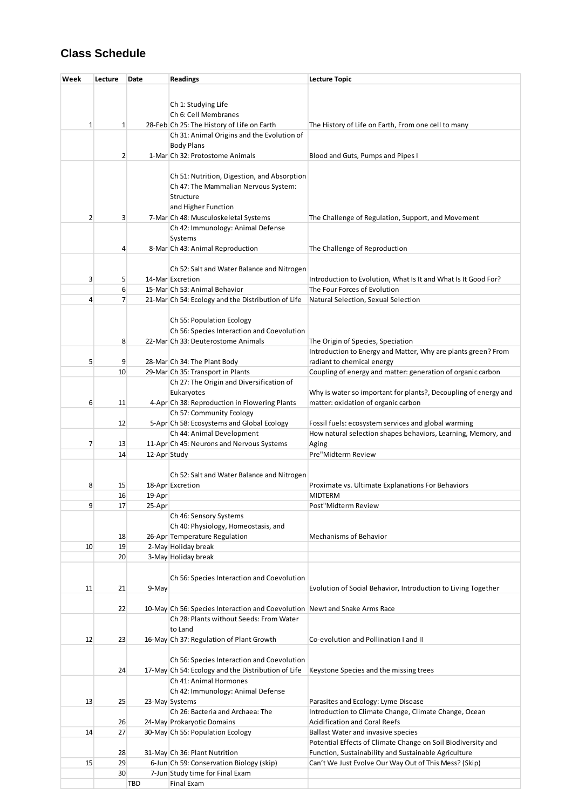# **Class Schedule**

| Week | Lecture        | Date         | <b>Readings</b>                                                            | <b>Lecture Topic</b>                                                                                          |
|------|----------------|--------------|----------------------------------------------------------------------------|---------------------------------------------------------------------------------------------------------------|
|      |                |              |                                                                            |                                                                                                               |
|      |                |              | Ch 1: Studying Life                                                        |                                                                                                               |
|      |                |              | Ch 6: Cell Membranes                                                       |                                                                                                               |
| 1    | $\mathbf{1}$   |              | 28-Feb Ch 25: The History of Life on Earth                                 | The History of Life on Earth, From one cell to many                                                           |
|      |                |              | Ch 31: Animal Origins and the Evolution of                                 |                                                                                                               |
|      |                |              | <b>Body Plans</b>                                                          |                                                                                                               |
|      | $\overline{2}$ |              | 1-Mar Ch 32: Protostome Animals                                            | Blood and Guts, Pumps and Pipes I                                                                             |
|      |                |              |                                                                            |                                                                                                               |
|      |                |              | Ch 51: Nutrition, Digestion, and Absorption                                |                                                                                                               |
|      |                |              | Ch 47: The Mammalian Nervous System:                                       |                                                                                                               |
|      |                |              | Structure                                                                  |                                                                                                               |
| 2    | 3              |              | and Higher Function<br>7-Mar Ch 48: Musculoskeletal Systems                | The Challenge of Regulation, Support, and Movement                                                            |
|      |                |              | Ch 42: Immunology: Animal Defense                                          |                                                                                                               |
|      |                |              | Systems                                                                    |                                                                                                               |
|      | 4              |              | 8-Mar Ch 43: Animal Reproduction                                           | The Challenge of Reproduction                                                                                 |
|      |                |              |                                                                            |                                                                                                               |
|      |                |              | Ch 52: Salt and Water Balance and Nitrogen                                 |                                                                                                               |
| 3    | 5              |              | 14-Mar Excretion                                                           | Introduction to Evolution, What Is It and What Is It Good For?                                                |
|      | 6              |              | 15-Mar Ch 53: Animal Behavior                                              | The Four Forces of Evolution                                                                                  |
| 4    | $\overline{7}$ |              | 21-Mar Ch 54: Ecology and the Distribution of Life                         | Natural Selection, Sexual Selection                                                                           |
|      |                |              | Ch 55: Population Ecology                                                  |                                                                                                               |
|      |                |              | Ch 56: Species Interaction and Coevolution                                 |                                                                                                               |
|      | 8              |              | 22-Mar Ch 33: Deuterostome Animals                                         | The Origin of Species, Speciation                                                                             |
|      |                |              |                                                                            | Introduction to Energy and Matter, Why are plants green? From                                                 |
| 5    | 9              |              | 28-Mar Ch 34: The Plant Body                                               | radiant to chemical energy                                                                                    |
|      | 10             |              | 29-Mar Ch 35: Transport in Plants                                          | Coupling of energy and matter: generation of organic carbon                                                   |
|      |                |              | Ch 27: The Origin and Diversification of                                   |                                                                                                               |
| 6    | 11             |              | Eukaryotes<br>4-Apr Ch 38: Reproduction in Flowering Plants                | Why is water so important for plants?, Decoupling of energy and<br>matter: oxidation of organic carbon        |
|      |                |              | Ch 57: Community Ecology                                                   |                                                                                                               |
|      | 12             |              | 5-Apr Ch 58: Ecosystems and Global Ecology                                 | Fossil fuels: ecosystem services and global warming                                                           |
|      |                |              | Ch 44: Animal Development                                                  | How natural selection shapes behaviors, Learning, Memory, and                                                 |
| 7    | 13             |              | 11-Apr Ch 45: Neurons and Nervous Systems                                  | Aging                                                                                                         |
|      | 14             | 12-Apr Study |                                                                            | Pre"Midterm Review                                                                                            |
|      |                |              |                                                                            |                                                                                                               |
| 8    |                |              | Ch 52: Salt and Water Balance and Nitrogen<br>18-Apr Excretion             |                                                                                                               |
|      | 15<br>16       | 19-Apr       |                                                                            | Proximate vs. Ultimate Explanations For Behaviors<br><b>MIDTERM</b>                                           |
| 9    | 17             | 25-Apr       |                                                                            | Post"Midterm Review                                                                                           |
|      |                |              | Ch 46: Sensory Systems                                                     |                                                                                                               |
|      |                |              | Ch 40: Physiology, Homeostasis, and                                        |                                                                                                               |
|      | 18             |              | 26-Apr Temperature Regulation                                              | Mechanisms of Behavior                                                                                        |
| 10   | 19             |              | 2-May Holiday break                                                        |                                                                                                               |
|      | 20             |              | 3-May Holiday break                                                        |                                                                                                               |
|      |                |              | Ch 56: Species Interaction and Coevolution                                 |                                                                                                               |
| 11   | 21             | 9-May        |                                                                            | Evolution of Social Behavior, Introduction to Living Together                                                 |
|      |                |              |                                                                            |                                                                                                               |
|      | 22             |              | 10-May Ch 56: Species Interaction and Coevolution Newt and Snake Arms Race |                                                                                                               |
|      |                |              | Ch 28: Plants without Seeds: From Water                                    |                                                                                                               |
|      |                |              | to Land                                                                    |                                                                                                               |
| 12   | 23             |              | 16-May Ch 37: Regulation of Plant Growth                                   | Co-evolution and Pollination I and II                                                                         |
|      |                |              | Ch 56: Species Interaction and Coevolution                                 |                                                                                                               |
|      | 24             |              | 17-May Ch 54: Ecology and the Distribution of Life                         | Keystone Species and the missing trees                                                                        |
|      |                |              | Ch 41: Animal Hormones                                                     |                                                                                                               |
|      |                |              | Ch 42: Immunology: Animal Defense                                          |                                                                                                               |
| 13   | 25             |              | 23-May Systems                                                             | Parasites and Ecology: Lyme Disease                                                                           |
|      |                |              | Ch 26: Bacteria and Archaea: The                                           | Introduction to Climate Change, Climate Change, Ocean                                                         |
|      | 26             |              | 24-May Prokaryotic Domains                                                 | <b>Acidification and Coral Reefs</b>                                                                          |
| 14   | 27             |              | 30-May Ch 55: Population Ecology                                           | <b>Ballast Water and invasive species</b>                                                                     |
|      |                |              |                                                                            | Potential Effects of Climate Change on Soil Biodiversity and                                                  |
| 15   | 28<br>29       |              | 31-May Ch 36: Plant Nutrition<br>6-Jun Ch 59: Conservation Biology (skip)  | Function, Sustainability and Sustainable Agriculture<br>Can't We Just Evolve Our Way Out of This Mess? (Skip) |
|      | 30             |              | 7-Jun Study time for Final Exam                                            |                                                                                                               |
|      |                | <b>TBD</b>   | Final Exam                                                                 |                                                                                                               |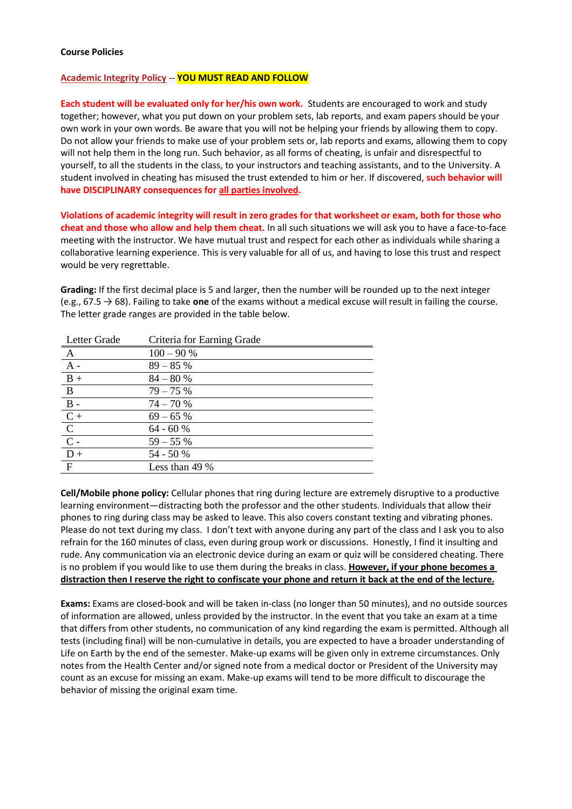#### **Course Policies**

#### **Academic Integrity Policy** -- **YOU MUST READ AND FOLLOW**

**Each student will be evaluated only for her/his own work.** Students are encouraged to work and study together; however, what you put down on your problem sets, lab reports, and exam papers should be your own work in your own words. Be aware that you will not be helping your friends by allowing them to copy. Do not allow your friends to make use of your problem sets or, lab reports and exams, allowing them to copy will not help them in the long run. Such behavior, as all forms of cheating, is unfair and disrespectful to yourself, to all the students in the class, to your instructors and teaching assistants, and to the University. A student involved in cheating has misused the trust extended to him or her. If discovered, **such behavior will have DISCIPLINARY consequences for all parties involved.**

**Violations of academic integrity will result in zero grades for that worksheet or exam, both for those who cheat and those who allow and help them cheat.** In all such situations we will ask you to have a face-to-face meeting with the instructor. We have mutual trust and respect for each other as individuals while sharing a collaborative learning experience. This is very valuable for all of us, and having to lose this trust and respect would be very regrettable.

**Grading:** If the first decimal place is 5 and larger, then the number will be rounded up to the next integer (e.g., 67.5 → 68). Failing to take **one** of the exams without a medical excuse will result in failing the course. The letter grade ranges are provided in the table below.

| Letter Grade                        | Criteria for Earning Grade |
|-------------------------------------|----------------------------|
| $\mathbf{A}$                        | $100 - 90 %$               |
| $\overline{A}$ -                    | $89 - 85%$                 |
| $B +$                               | $84 - 80%$                 |
| $\overline{B}$                      | $79 - 75%$                 |
| $B -$                               | $74 - 70%$                 |
| $C +$                               | $69 - 65%$                 |
|                                     | $64 - 60%$                 |
| $\frac{\overline{C}}{\overline{C}}$ | $59 - 55%$                 |
| $D +$                               | 54 - 50 %                  |
| $\mathbf{F}$                        | Less than 49 %             |

**Cell/Mobile phone policy:** Cellular phones that ring during lecture are extremely disruptive to a productive learning environment—distracting both the professor and the other students. Individuals that allow their phones to ring during class may be asked to leave. This also covers constant texting and vibrating phones. Please do not text during my class. I don't text with anyone during any part of the class and I ask you to also refrain for the 160 minutes of class, even during group work or discussions. Honestly, I find it insulting and rude. Any communication via an electronic device during an exam or quiz will be considered cheating. There is no problem if you would like to use them during the breaks in class. **However, if your phone becomes a distraction then I reserve the right to confiscate your phone and return it back at the end of the lecture.**

**Exams:** Exams are closed-book and will be taken in-class (no longer than 50 minutes), and no outside sources of information are allowed, unless provided by the instructor. In the event that you take an exam at a time that differs from other students, no communication of any kind regarding the exam is permitted. Although all tests (including final) will be non-cumulative in details, you are expected to have a broader understanding of Life on Earth by the end of the semester. Make-up exams will be given only in extreme circumstances. Only notes from the Health Center and/or signed note from a medical doctor or President of the University may count as an excuse for missing an exam. Make-up exams will tend to be more difficult to discourage the behavior of missing the original exam time.